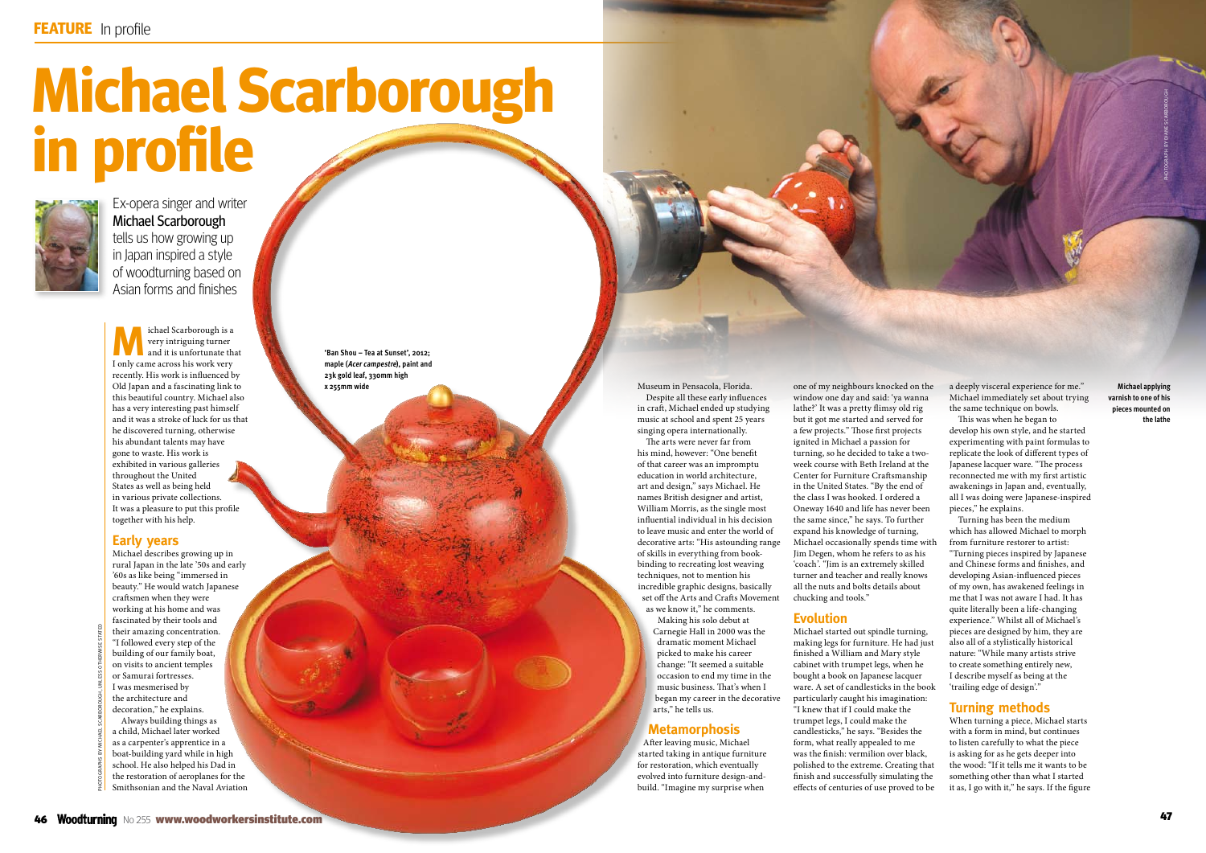# **Michael Scarborough in profile**



Ex-opera singer and writer Michael Scarborough tells us how growing up in Japan inspired a style of woodturning based on Asian forms and finishes

PHOTOGRAPHS BY MICHAEL SCARBOROUGH, UNLESS OTHERWISE STATED

**M** ichael Scarborough is a<br>
very intriguing turner<br>
and it is unfortunate that<br>
I such a graph is a set in the set of the set of the set of the set of the set of the set of the set of the set of the set of the set of the very intriguing turner I only came across his work very recently. His work is influenced by Old Japan and a fascinating link to this beautiful country. Michael also has a very interesting past himself and it was a stroke of luck for us that he discovered turning, otherwise his abundant talents may have gone to waste. His work is exhibited in various galleries throughout the United States as well as being held in various private collections. It was a pleasure to put this profile together with his help.

# **Early years**

Michael describes growing up in rural Japan in the late '50s and early '60s as like being "immersed in beauty." He would watch Japanese craftsmen when they were working at his home and was fascinated by their tools and their amazing concentration. "I followed every step of the building of our family boat, on visits to ancient temples or Samurai fortresses. I was mesmerised by the architecture and decoration," he explains. Always building things as a child, Michael later worked as a carpenter's apprentice in a boat-building yard while in high school. He also helped his Dad in the restoration of aeroplanes for the Smithsonian and the Naval Aviation **xxxxx xxxxxx**

Museum in Pensacola, Florida. Despite all these early influences in craft, Michael ended up studying music at school and spent 25 years singing opera internationally.

**one of my neighbours knocked on the a deeply visceral experience for me." Michael applying Michael applying and the a deeply visceral experience for me." Michael applying Michael applying** window one day and said: 'ya wanna lathe?' It was a pretty flimsy old rig but it got me started and served for a few projects." Those first projects ignited in Michael a passion for turning, so he decided to take a twoweek course with Beth Ireland at the Center for Furniture Craftsmanship in the United States. "By the end of the class I was hooked. I ordered a Oneway 1640 and life has never been the same since," he says. To further expand his knowledge of turning, Michael occasionally spends time with Jim Degen, whom he refers to as his 'coach'. "Jim is an extremely skilled turner and teacher and really knows all the nuts and bolts details about chucking and tools."

The arts were never far from his mind, however: "One benefit of that career was an impromptu education in world architecture, art and design," says Michael. He names British designer and artist, William Morris, as the single most influential individual in his decision to leave music and enter the world of decorative arts: "His astounding range of skills in everything from bookbinding to recreating lost weaving techniques, not to mention his incredible graphic designs, basically set off the Arts and Crafts Movement as we know it," he comments.

Making his solo debut at Carnegie Hall in 2000 was the dramatic moment Michael picked to make his career change: "It seemed a suitable occasion to end my time in the music business. That's when I began my career in the decorative arts," he tells us.

### **Metamorphosis**

After leaving music, Michael started taking in antique furniture for restoration, which eventually evolved into furniture design-andbuild. "Imagine my surprise when

**varnish to one of his pieces mounted on** the lathe

# **Evolution**

Michael started out spindle turning, making legs for furniture. He had just finished a William and Mary style cabinet with trumpet legs, when he bought a book on Japanese lacquer ware. A set of candlesticks in the book particularly caught his imagination: "I knew that if I could make the trumpet legs, I could make the candlesticks," he says. "Besides the form, what really appealed to me was the finish: vermilion over black, polished to the extreme. Creating that finish and successfully simulating the effects of centuries of use proved to be a deeply visceral experience for me." Michael immediately set about trying the same technique on bowls. This was when he began to

develop his own style, and he started experimenting with paint formulas to replicate the look of different types of Japanese lacquer ware. "The process reconnected me with my first artistic awakenings in Japan and, eventually, all I was doing were Japanese-inspired pieces," he explains.

Turning has been the medium which has allowed Michael to morph from furniture restorer to artist: "Turning pieces inspired by Japanese and Chinese forms and finishes, and developing Asian-influenced pieces of my own, has awakened feelings in me that I was not aware I had. It has quite literally been a life-changing experience." Whilst all of Michael's pieces are designed by him, they are also all of a stylistically historical nature: "While many artists strive to create something entirely new, I describe myself as being at the 'trailing edge of design'."

# **Turning methods**

When turning a piece, Michael starts with a form in mind, but continues to listen carefully to what the piece is asking for as he gets deeper into the wood: "If it tells me it wants to be something other than what I started it as, I go with it," he says. If the figure

**'Ban Shou – Tea at Sunset', 2012; maple (Acer campestre), paint and 23k gold leaf, 330mm high**

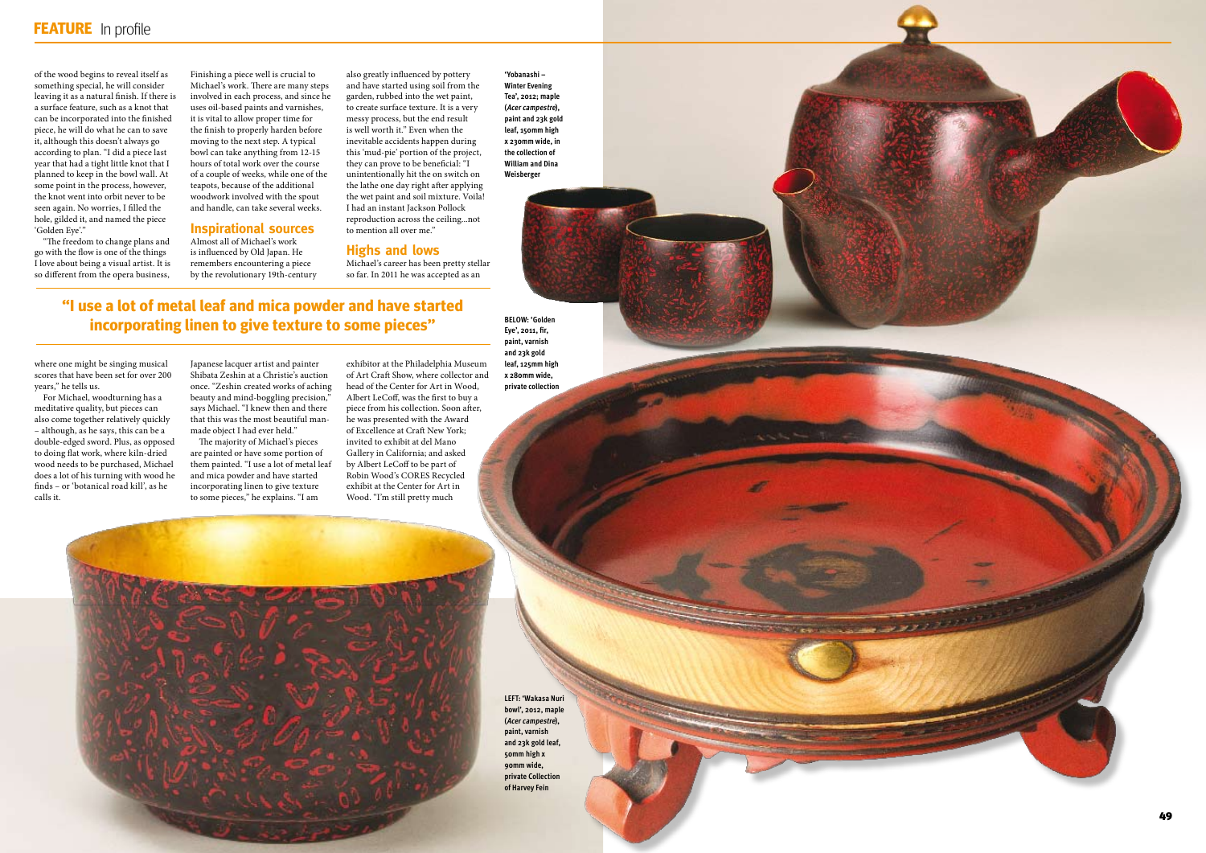of the wood begins to reveal itself as something special, he will consider leaving it as a natural finish. If there is a surface feature, such as a knot that can be incorporated into the finished piece, he will do what he can to save it, although this doesn't always go according to plan. "I did a piece last year that had a tight little knot that I planned to keep in the bowl wall. At some point in the process, however, the knot went into orbit never to be seen again. No worries, I filled the hole, gilded it, and named the piece 'Golden Eye'."

"The freedom to change plans and go with the flow is one of the things I love about being a visual artist. It is so different from the opera business,

where one might be singing musical scores that have been set for over 200 years," he tells us.

For Michael, woodturning has a meditative quality, but pieces can also come together relatively quickly – although, as he says, this can be a double-edged sword. Plus, as opposed to doing flat work, where kiln-dried wood needs to be purchased, Michael does a lot of his turning with wood he finds – or 'botanical road kill', as he calls it.

Finishing a piece well is crucial to Michael's work. There are many steps involved in each process, and since he uses oil-based paints and varnishes, it is vital to allow proper time for the finish to properly harden before moving to the next step. A typical bowl can take anything from 12-15 hours of total work over the course of a couple of weeks, while one of the teapots, because of the additional woodwork involved with the spout and handle, can take several weeks.

#### **Inspirational sources**

Almost all of Michael's work is influenced by Old Japan. He remembers encountering a piece by the revolutionary 19th-century

Japanese lacquer artist and painter Shibata Zeshin at a Christie's auction once. "Zeshin created works of aching beauty and mind-boggling precision," says Michael. "I knew then and there that this was the most beautiful manmade object I had ever held."

The majority of Michael's pieces are painted or have some portion of them painted. "I use a lot of metal leaf and mica powder and have started incorporating linen to give texture to some pieces," he explains. "I am

 $\mathbf{A} \in \mathbb{R}$  with  $\mathbf{A} \in \mathbb{R}$  workers in  $\mathbf{A} \in \mathbb{R}$ 

also greatly influenced by pottery and have started using soil from the garden, rubbed into the wet paint, to create surface texture. It is a very messy process, but the end result is well worth it." Even when the inevitable accidents happen during this 'mud-pie' portion of the project, they can prove to be beneficial: "I unintentionally hit the on switch on the lathe one day right after applying the wet paint and soil mixture. Voila! I had an instant Jackson Pollock reproduction across the ceiling...not to mention all over me."

#### **Highs and lows**

Michael's career has been pretty stellar so far. In 2011 he was accepted as an

exhibitor at the Philadelphia Museum of Art Craft Show, where collector and head of the Center for Art in Wood, Albert LeCoff, was the first to buy a piece from his collection. Soon after, he was presented with the Award of Excellence at Craft New York; invited to exhibit at del Mano Gallery in California; and asked by Albert LeCoff to be part of Robin Wood's CORES Recycled exhibit at the Center for Art in Wood. "I'm still pretty much

**"I use a lot of metal leaf and mica powder and have started incorporating linen to give texture to some pieces"**

**'Yobanashi – Winter Evening Tea', 2012; maple (Acer campestre), paint and 23k gold leaf, 150mm high x 230mm wide, in the collection of William and Dina Weisberger**

**BELOW: 'Golden Eye', 2011, fir, paint, varnish and 23k gold leaf, 125mm high x 280mm wide, private collection**

**LEFT: 'Wakasa Nuri bowl', 2012, maple (Acer campestre), paint, varnish and 23k gold leaf, 50mm high x 90mm wide, private Collection of Harvey Fein**